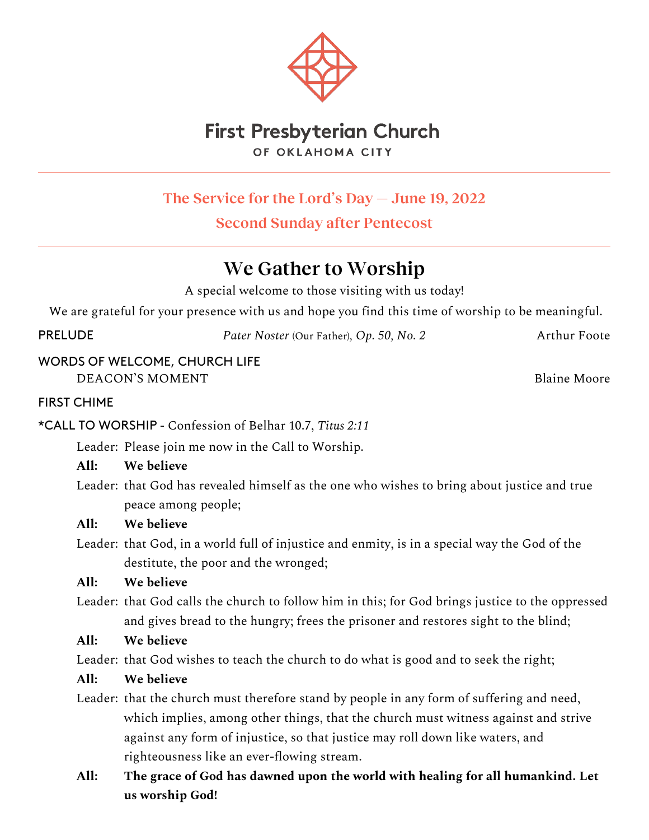

# **First Presbyterian Church** OF OKLAHOMA CITY

**The Service for the Lord's Day — June 19, 2022**

**Second Sunday after Pentecost**

# **We Gather to Worship**

A special welcome to those visiting with us today!

We are grateful for your presence with us and hope you find this time of worship to be meaningful.

PRELUDE *Pater Noster* (Our Father)*, Op. 50, No. 2* Arthur Foote

WORDS OF WELCOME, CHURCH LIFE DEACON'S MOMENT **Blaine Moore** 

FIRST CHIME

\*CALL TO WORSHIP - Confession of Belhar 10.7, *Titus 2:11*

Leader: Please join me now in the Call to Worship.

## **All: We believe**

Leader: that God has revealed himself as the one who wishes to bring about justice and true peace among people;

## **All: We believe**

Leader: that God, in a world full of injustice and enmity, is in a special way the God of the destitute, the poor and the wronged;

# **All: We believe**

Leader: that God calls the church to follow him in this; for God brings justice to the oppressed and gives bread to the hungry; frees the prisoner and restores sight to the blind;

## **All: We believe**

Leader: that God wishes to teach the church to do what is good and to seek the right;

# **All: We believe**

Leader: that the church must therefore stand by people in any form of suffering and need, which implies, among other things, that the church must witness against and strive against any form of injustice, so that justice may roll down like waters, and righteousness like an ever-flowing stream.

# **All: The grace of God has dawned upon the world with healing for all humankind. Let us worship God!**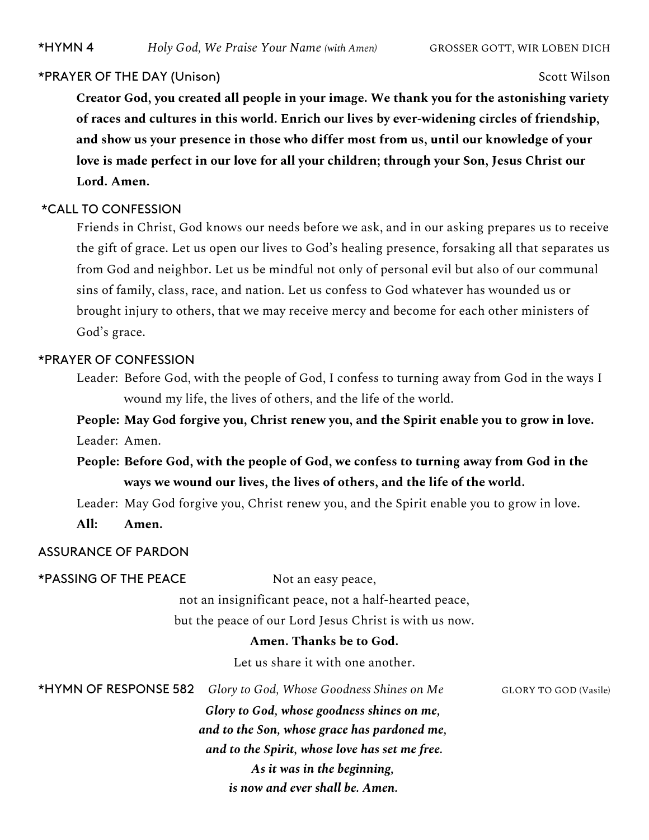#### \*PRAYER OF THE DAY (Unison) Scott Wilson

**Creator God, you created all people in your image. We thank you for the astonishing variety of races and cultures in this world. Enrich our lives by ever-widening circles of friendship, and show us your presence in those who differ most from us, until our knowledge of your love is made perfect in our love for all your children; through your Son, Jesus Christ our Lord. Amen.**

#### \*CALL TO CONFESSION

Friends in Christ, God knows our needs before we ask, and in our asking prepares us to receive the gift of grace. Let us open our lives to God's healing presence, forsaking all that separates us from God and neighbor. Let us be mindful not only of personal evil but also of our communal sins of family, class, race, and nation. Let us confess to God whatever has wounded us or brought injury to others, that we may receive mercy and become for each other ministers of God's grace.

### \*PRAYER OF CONFESSION

Leader: Before God, with the people of God, I confess to turning away from God in the ways I wound my life, the lives of others, and the life of the world.

**People: May God forgive you, Christ renew you, and the Spirit enable you to grow in love.** Leader: Amen.

**People: Before God, with the people of God, we confess to turning away from God in the ways we wound our lives, the lives of others, and the life of the world.**

Leader: May God forgive you, Christ renew you, and the Spirit enable you to grow in love.

**All: Amen.** 

#### ASSURANCE OF PARDON

\*PASSING OF THE PEACE Not an easy peace,

not an insignificant peace, not a half-hearted peace,

but the peace of our Lord Jesus Christ is with us now.

### **Amen. Thanks be to God.**

Let us share it with one another.

\*HYMN OF RESPONSE 582 *Glory to God, Whose Goodness Shines on Me* GLORY TO GOD (Vasile) *Glory to God, whose goodness shines on me, and to the Son, whose grace has pardoned me, and to the Spirit, whose love has set me free. As it was in the beginning, is now and ever shall be. Amen.*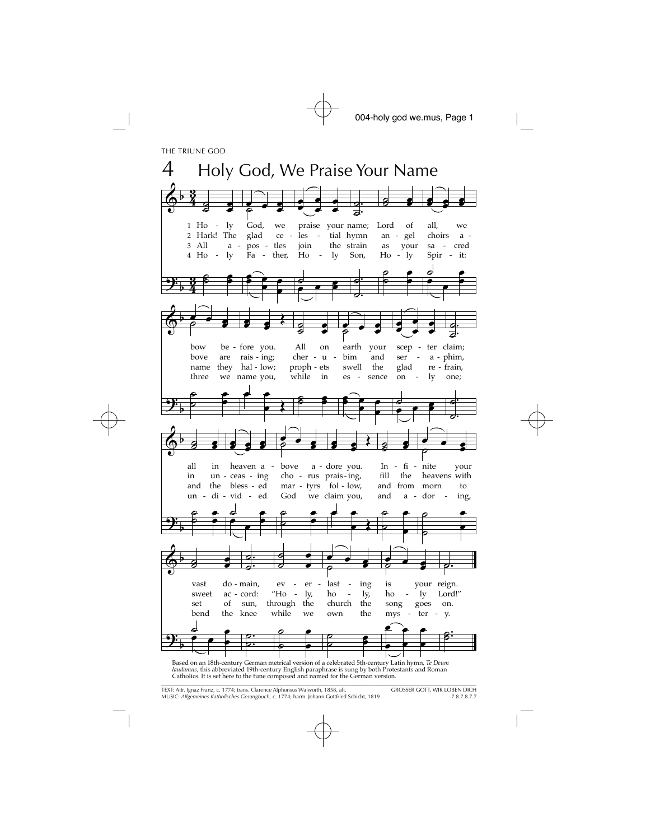THE TRIUNE GOD



laudamus, this abbreviated 19th-century English paraphrase is sung by both Protestants and Roman Catholics. It is set here to the tune composed and named for the German version.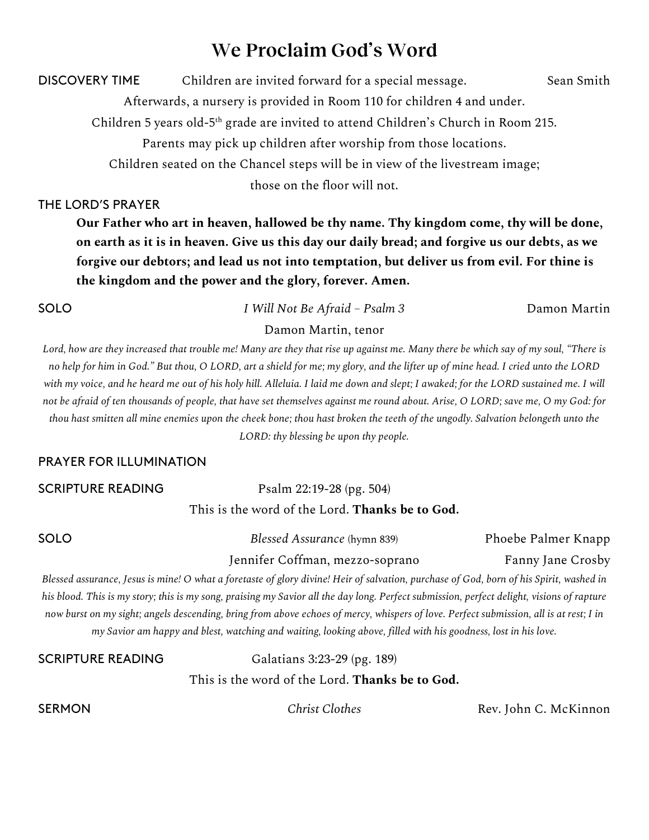# **We Proclaim God's Word**

DISCOVERY TIME Children are invited forward for a special message. Sean Smith

Afterwards, a nursery is provided in Room 110 for children 4 and under.

Children 5 years old-5th grade are invited to attend Children's Church in Room 215.

Parents may pick up children after worship from those locations.

Children seated on the Chancel steps will be in view of the livestream image;

those on the floor will not.

THE LORD'S PRAYER

**Our Father who art in heaven, hallowed be thy name. Thy kingdom come, thy will be done, on earth as it is in heaven. Give us this day our daily bread; and forgive us our debts, as we forgive our debtors; and lead us not into temptation, but deliver us from evil. For thine is the kingdom and the power and the glory, forever. Amen.**

SOLO *I Will Not Be Afraid – Psalm 3* Damon Martin

#### Damon Martin, tenor

*Lord, how are they increased that trouble me! Many are they that rise up against me. Many there be which say of my soul, "There is no help for him in God." But thou, O LORD, art a shield for me; my glory, and the lifter up of mine head. I cried unto the LORD with my voice, and he heard me out of his holy hill. Alleluia. I laid me down and slept; I awaked; for the LORD sustained me. I will not be afraid of ten thousands of people, that have set themselves against me round about. Arise, O LORD; save me, O my God: for thou hast smitten all mine enemies upon the cheek bone; thou hast broken the teeth of the ungodly. Salvation belongeth unto the LORD: thy blessing be upon thy people.*

#### PRAYER FOR ILLUMINATION

SCRIPTURE READING Psalm 22:19-28 (pg. 504) This is the word of the Lord. **Thanks be to God.**

SOLO *Blessed Assurance* (hymn 839) Phoebe Palmer Knapp

Jennifer Coffman, mezzo-soprano Fanny Jane Crosby

*Blessed assurance, Jesus is mine! O what a foretaste of glory divine! Heir of salvation, purchase of God, born of his Spirit, washed in his blood. This is my story; this is my song, praising my Savior all the day long. Perfect submission, perfect delight, visions of rapture now burst on my sight; angels descending, bring from above echoes of mercy, whispers of love. Perfect submission, all is at rest; I in my Savior am happy and blest, watching and waiting, looking above, filled with his goodness, lost in his love.* 

SCRIPTURE READING Galatians 3:23-29 (pg. 189) This is the word of the Lord. **Thanks be to God.**

**SERMON** *Christ Clothes Rev. John C. McKinnon*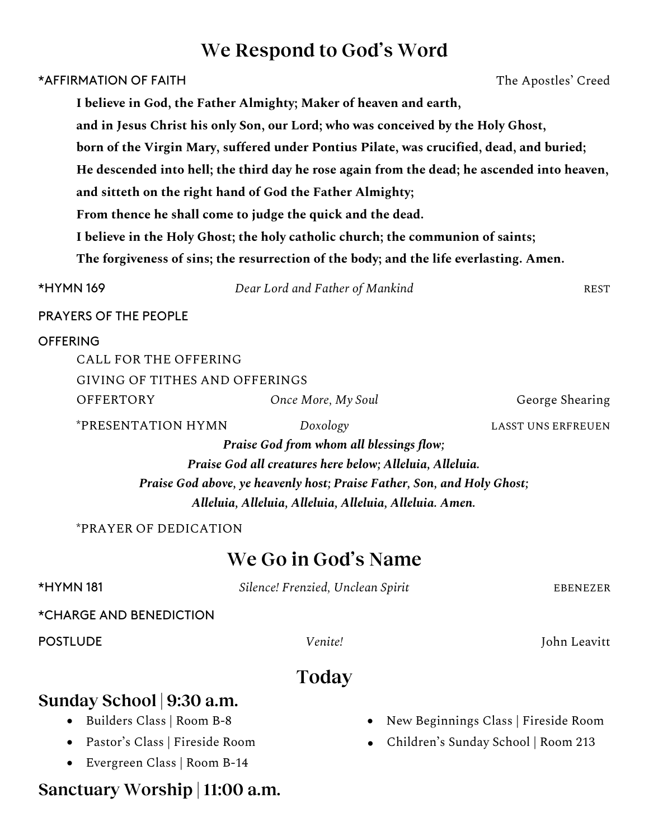# **We Respond to God's Word**

| *AFFIRMATION OF FAITH                                                                                                                                   |                                                                                                                                                                                                                                                        | The Apostles' Creed                                                                         |
|---------------------------------------------------------------------------------------------------------------------------------------------------------|--------------------------------------------------------------------------------------------------------------------------------------------------------------------------------------------------------------------------------------------------------|---------------------------------------------------------------------------------------------|
|                                                                                                                                                         | I believe in God, the Father Almighty; Maker of heaven and earth,                                                                                                                                                                                      |                                                                                             |
|                                                                                                                                                         | and in Jesus Christ his only Son, our Lord; who was conceived by the Holy Ghost,                                                                                                                                                                       |                                                                                             |
|                                                                                                                                                         |                                                                                                                                                                                                                                                        | born of the Virgin Mary, suffered under Pontius Pilate, was crucified, dead, and buried;    |
|                                                                                                                                                         |                                                                                                                                                                                                                                                        | He descended into hell; the third day he rose again from the dead; he ascended into heaven, |
|                                                                                                                                                         | and sitteth on the right hand of God the Father Almighty;                                                                                                                                                                                              |                                                                                             |
|                                                                                                                                                         | From thence he shall come to judge the quick and the dead.                                                                                                                                                                                             |                                                                                             |
|                                                                                                                                                         | I believe in the Holy Ghost; the holy catholic church; the communion of saints;                                                                                                                                                                        |                                                                                             |
|                                                                                                                                                         | The forgiveness of sins; the resurrection of the body; and the life everlasting. Amen.                                                                                                                                                                 |                                                                                             |
| <b>*HYMN169</b>                                                                                                                                         | Dear Lord and Father of Mankind                                                                                                                                                                                                                        | <b>REST</b>                                                                                 |
| <b>PRAYERS OF THE PEOPLE</b>                                                                                                                            |                                                                                                                                                                                                                                                        |                                                                                             |
| <b>OFFERING</b><br>CALL FOR THE OFFERING<br>GIVING OF TITHES AND OFFERINGS                                                                              |                                                                                                                                                                                                                                                        |                                                                                             |
| <b>OFFERTORY</b>                                                                                                                                        | Once More, My Soul                                                                                                                                                                                                                                     | George Shearing                                                                             |
| *PRESENTATION HYMN                                                                                                                                      | Doxology<br>Praise God from whom all blessings flow;<br>Praise God all creatures here below; Alleluia, Alleluia.<br>Praise God above, ye heavenly host; Praise Father, Son, and Holy Ghost;<br>Alleluia, Alleluia, Alleluia, Alleluia, Alleluia. Amen. | <b>LASST UNS ERFREUEN</b>                                                                   |
| *PRAYER OF DEDICATION                                                                                                                                   |                                                                                                                                                                                                                                                        |                                                                                             |
|                                                                                                                                                         | We Go in God's Name                                                                                                                                                                                                                                    |                                                                                             |
| <b>*HYMN181</b>                                                                                                                                         | Silence! Frenzied, Unclean Spirit                                                                                                                                                                                                                      | <b>EBENEZER</b>                                                                             |
| *CHARGE AND BENEDICTION                                                                                                                                 |                                                                                                                                                                                                                                                        |                                                                                             |
| <b>POSTLUDE</b>                                                                                                                                         | Venite!                                                                                                                                                                                                                                                | John Leavitt                                                                                |
|                                                                                                                                                         | Today                                                                                                                                                                                                                                                  |                                                                                             |
| Sunday School 9:30 a.m.<br>Builders Class   Room B-8<br>Pastor's Class   Fireside Room<br>Evergreen Class   Room B-14<br>Sanctuary Worship   11:00 a.m. |                                                                                                                                                                                                                                                        | New Beginnings Class   Fireside Room<br>Children's Sunday School   Room 213                 |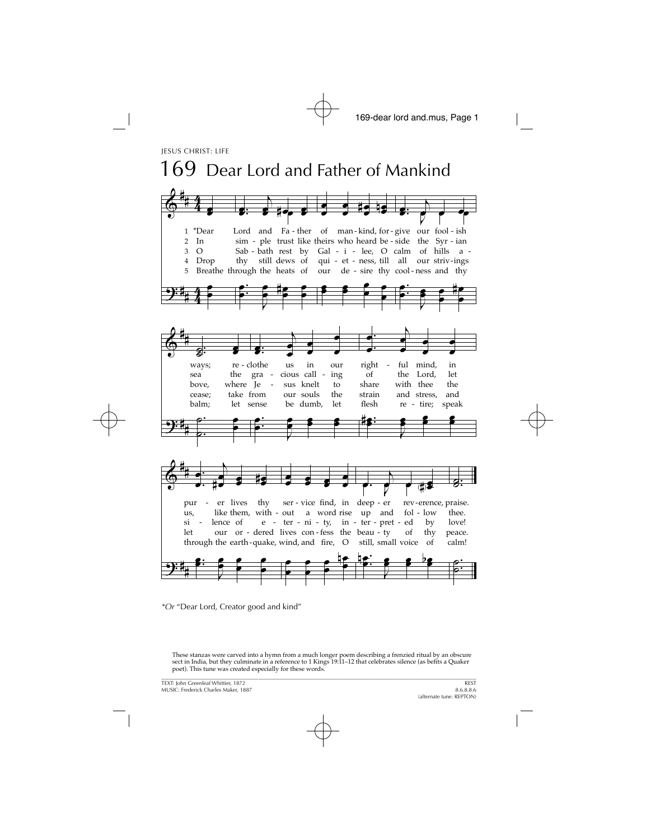

\*Or "Dear Lord, Creator good and kind"

These stanzas were carved into a hymn from a much longer poem describing a frenzied ritual by an obscure sect in India, but they culminate in a reference to 1 Kings 19:11-12 that celebrates silence (as befits a Quaker poet). This tune was created especially for these words.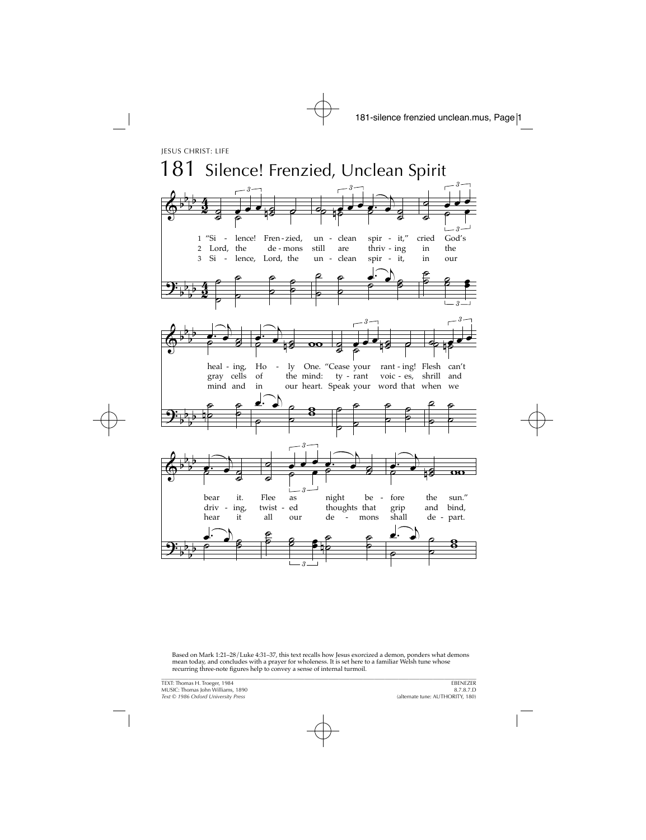

Based on Mark 1:21–28/Luke 4:31–37, this text recalls how Jesus exorcized a demon, ponders what demons mean today, and concludes with a prayer for wholeness. It is set here to a familiar Welsh tune whose recurring three-note figures help to convey a sense of internal turmoil.